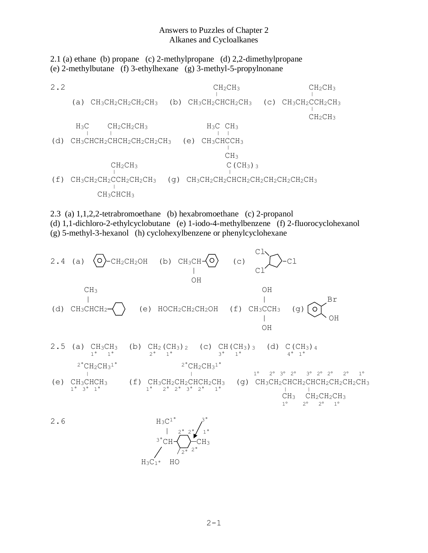## Answers to Puzzles of Chapter 2 Alkanes and Cycloalkanes

2.1 (a) ethane (b) propane (c) 2-methylpropane (d) 2,2-dimethylpropane (e) 2-methylbutane (f) 3-ethylhexane (g) 3-methyl-5-propylnonane

 $CH_2CH_3$  CH<sub>2</sub>CH<sub>3</sub> CH<sub>2</sub>CH<sub>3</sub> 2.2 CH2CH3 C (a)  $\text{CH}_3\text{CH}_2\text{CH}_2\text{CH}_3$  (b)  $\text{CH}_3\text{CH}_2\text{CH}_3$  (c)  $\text{CH}_3\text{CH}_2\text{CH}_3$  $CH<sub>2</sub>CH<sub>3</sub>$ H<sub>3</sub>C CH<sub>2</sub>CH<sub>2</sub>CH<sub>3</sub> H<sub>3</sub>C CH<sub>3</sub> <sup>|</sup> <sup>|</sup> <sup>|</sup> <sup>|</sup> (d)  $CH_3CHCH_2CHCH_2CH_2CH_2CH_3$  (e)  $CH_3CHCCH_3$ **CH<sub>3</sub>**  $CH_2CH_3$  C(CH<sub>3</sub>)<sub>3</sub>  $\frac{1}{1}$ (q)  $CH_3CH_2CH_2CHCH_2CH_2CH_2CH_2CH_2CH_2CH_2CH_2CH_3$  $(f)$   $CH_3CH_2CH_2CCH_2CH_2CH_2CH_3$ CH3CHCH<sup>3</sup>

2.3 (a) 1,1,2,2-tetrabromoethane (b) hexabromoethane (c) 2-propanol (d) 1,1-dichloro-2-ethylcyclobutane (e) 1-iodo-4-methylbenzene (f) 2-fluorocyclohexanol

(g) 5-methyl-3-hexanol (h) cyclohexylbenzene or phenylcyclohexane

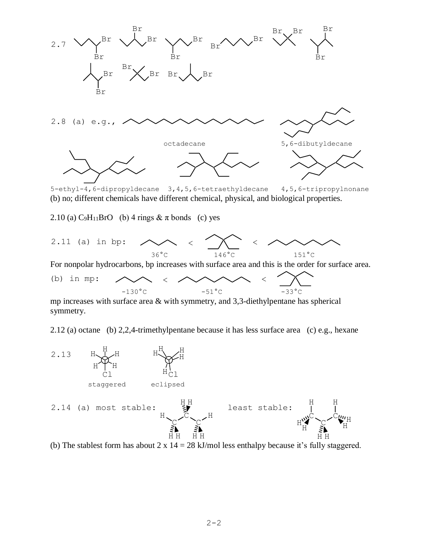

(b) no; different chemicals have different chemical, physical, and biological properties.

2.10 (a)  $C_9H_{11}BrO$  (b) 4 rings  $& \pi$  bonds (c) yes



For nonpolar hydrocarbons, bp increases with surface area and this is the order for surface area.

(b) in mp:  $\land\land\quad \land\quad \land\quad \land\quad \land\quad$  $-130^{\circ}$ C  $-51^{\circ}$ C  $-33^{\circ}$ C

mp increases with surface area & with symmetry, and 3,3-diethylpentane has spherical symmetry.

2.12 (a) octane (b) 2,2,4-trimethylpentane because it has less surface area (c) e.g., hexane



(b) The stablest form has about  $2 \times 14 = 28$  kJ/mol less enthalpy because it's fully staggered.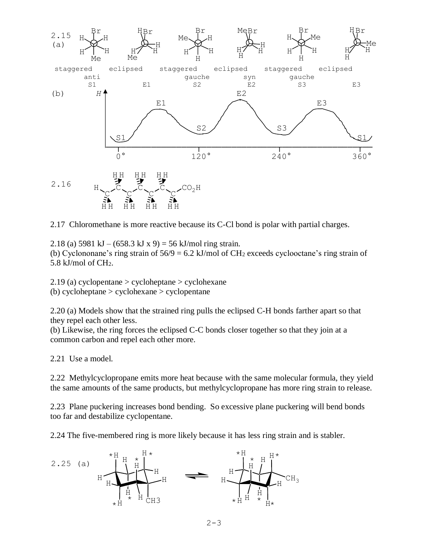

2.17 Chloromethane is more reactive because its C-Cl bond is polar with partial charges.

2.18 (a)  $5981 \text{ kJ} - (658.3 \text{ kJ} \times 9) = 56 \text{ kJ/mol ring strain.}$ (b) Cyclononane's ring strain of  $56/9 = 6.2$  kJ/mol of CH<sub>2</sub> exceeds cyclooctane's ring strain of 5.8 kJ/mol of CH2.

2.19 (a) cyclopentane > cycloheptane > cyclohexane (b) cycloheptane > cyclohexane > cyclopentane

2.20 (a) Models show that the strained ring pulls the eclipsed C-H bonds farther apart so that they repel each other less.

(b) Likewise, the ring forces the eclipsed C-C bonds closer together so that they join at a common carbon and repel each other more.

2.21 Use a model.

2.22 Methylcyclopropane emits more heat because with the same molecular formula, they yield the same amounts of the same products, but methylcyclopropane has more ring strain to release.

2.23 Plane puckering increases bond bending. So excessive plane puckering will bend bonds too far and destabilize cyclopentane.

2.24 The five-membered ring is more likely because it has less ring strain and is stabler.

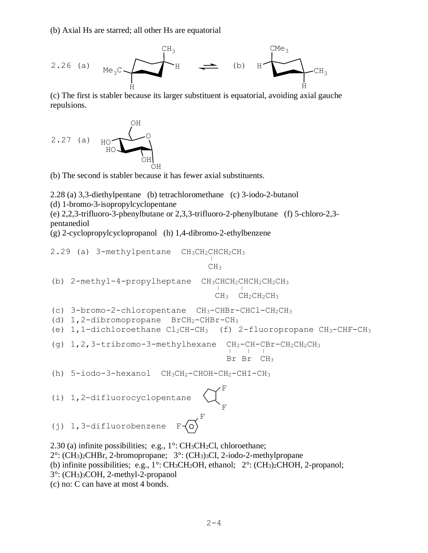(b) Axial Hs are starred; all other Hs are equatorial

2.26 (a) 
$$
Me_3C
$$
  $H$   $H$   $+$  (b)  $H$   $CH_3$   $H$   $CH_3$ 

(c) The first is stabler because its larger substituent is equatorial, avoiding axial gauche repulsions.

$$
2.27 \text{ (a)} \text{ HOD} \begin{picture}(1,0) \put(0,0) \put(0,0) \put(0,0) \put(0,0) \put(0,0) \put(0,0) \put(0,0) \put(0,0) \put(0,0) \put(0,0) \put(0,0) \put(0,0) \put(0,0) \put(0,0) \put(0,0) \put(0,0) \put(0,0) \put(0,0) \put(0,0) \put(0,0) \put(0,0) \put(0,0) \put(0,0) \put(0,0) \put(0,0) \put(0,0) \put(0,0) \put(0,0) \put(0,0) \put(0,0) \put(0,0) \put(0,0) \put(0,0) \put(0,0) \put(0,0) \put(0,0) \put(0,0) \put(0,0) \put(0,0) \put(0,0) \put(0,0) \put(0,0) \put(0,0) \put(0,0) \put(0,0) \put(0,0) \put(0,0) \put(0,0) \put(0,0) \put(0,0) \put(0,0) \put(0,0) \put(0,0) \put(0,0) \put(0,0) \put(0,0) \put(0,0) \put(0,0) \put(0,0) \put(0,0) \put(0,0) \put(0,0) \put(0,0) \put(0,0) \put(0,0) \put(0,0) \put(0,0) \put(0,0) \put(0,0) \put(0,0) \put(0,0) \put(0,0) \put(0,0) \put(0,0) \put(0,0) \put(0,0) \put(0,0) \put(0,0) \put(0,0) \put(0,0) \put(0,0) \put(0,0) \put(0,0) \put(0,0) \put(0,0) \put(0,0) \put(0,0) \put(0,0) \put(0,0) \put(0,0) \put(0,0) \put(0,0) \put(0,0) \put(0,0) \put(0,0) \put(0,0) \put(0,0) \put(0,0) \put(0,0) \put(0,0) \put(0,0) \put(0,0) \put(0,0) \put(0,0) \put(0,0
$$

(b) The second is stabler because it has fewer axial substituents.

2.28 (a) 3,3-diethylpentane (b) tetrachloromethane (c) 3-iodo-2-butanol (d) 1-bromo-3-isopropylcyclopentane

(e) 2,2,3-trifluoro-3-phenylbutane or 2,3,3-trifluoro-2-phenylbutane (f) 5-chloro-2,3 pentanediol

(g) 2-cyclopropylcyclopropanol (h) 1,4-dibromo-2-ethylbenzene

2.29 (a)  $3$ -methylpentane  $CH_3CH_2CHCH_2CH_3$ **CH<sub>3</sub>** (b)  $2$ -methyl-4-propylheptane  $CH_3CHCH_2CHCH_2CH_2CH_3$  $CH_3$   $CH_2CH_2CH_3$ (c) 3-bromo-2-chloropentane CH3-CHBr-CHCl-CH2CH<sup>3</sup> (d) 1,2-dibromopropane BrCH2-CHBr-CH<sup>3</sup> (e) 1,1-dichloroethane Cl2CH-CH3 (f) 2-fluoropropane CH3-CHF-CH<sup>3</sup> (g)  $1, 2, 3$ -tribromo-3-methylhexane  $CH_2-CH-CBr-CH_2CH_2CH_3$  Br Br CH<sup>3</sup> (h) 5-iodo-3-hexanol CH3CH2-CHOH-CH2-CHI-CH<sup>3</sup>  $\sim$ F (i) 1,2-difluorocyclopentane  $\Gamma$   $\Gamma$  $\overline{\phantom{a}}$  F (j) 1,3-difluorobenzene F-2.30 (a) infinite possibilities; e.g., 1°: CH3CH2Cl, chloroethane; 2°: (CH3)2CHBr, 2-bromopropane; 3°: (CH3)3CI, 2-iodo-2-methylpropane (b) infinite possibilities; e.g., 1°: CH3CH2OH, ethanol; 2°: (CH3)2CHOH, 2-propanol; 3°: (CH3)3COH, 2-methyl-2-propanol

(c) no: C can have at most 4 bonds.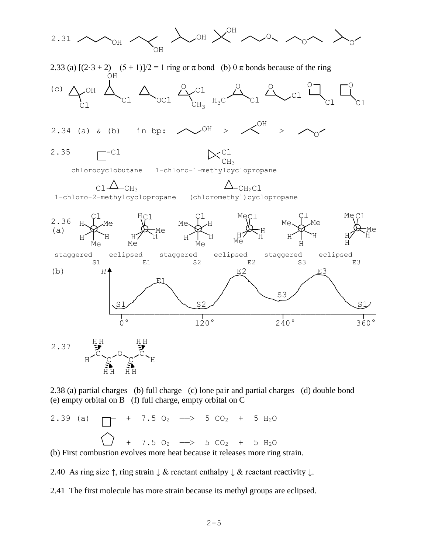

2.38 (a) partial charges (b) full charge (c) lone pair and partial charges (d) double bond (e) empty orbital on B (f) full charge, empty orbital on C

2.39 (a)  $+ 7.5 O_2 \longrightarrow 5 CO_2 + 5 H_2O$ + 7.5 O<sub>2</sub>  $\longrightarrow$  5 CO<sub>2</sub> + 5 H<sub>2</sub>O

(b) First combustion evolves more heat because it releases more ring strain.

2.40 As ring size  $\uparrow$ , ring strain  $\downarrow \&$  reactant enthalpy  $\downarrow \&$  reactant reactivity  $\downarrow$ .

2.41 The first molecule has more strain because its methyl groups are eclipsed.